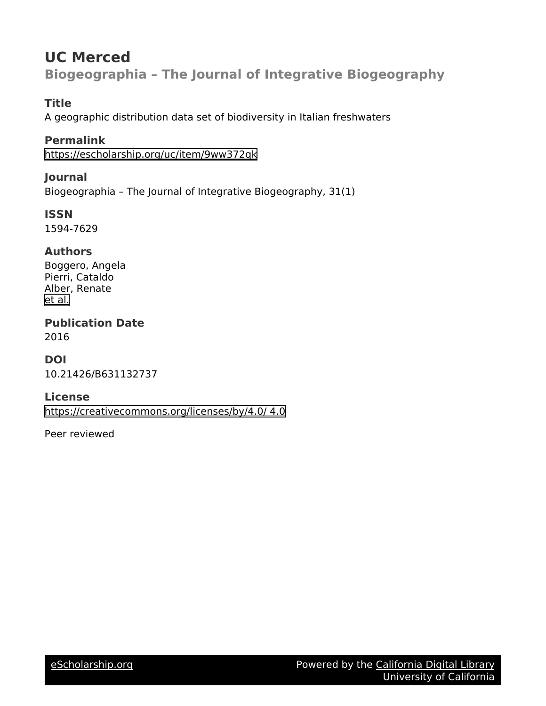## **UC Merced Biogeographia – The Journal of Integrative Biogeography**

## **Title**

A geographic distribution data set of biodiversity in Italian freshwaters

## **Permalink**

<https://escholarship.org/uc/item/9ww372qk>

## **Journal**

Biogeographia – The Journal of Integrative Biogeography, 31(1)

**ISSN** 1594-7629

### **Authors**

Boggero, Angela Pierri, Cataldo Alber, Renate [et al.](https://escholarship.org/uc/item/9ww372qk#author)

**Publication Date** 2016

## **DOI**

10.21426/B631132737

### **License**

[https://creativecommons.org/licenses/by/4.0/ 4.0](https://creativecommons.org/licenses/https://creativecommons.org/licenses/by/4.0//4.0)

Peer reviewed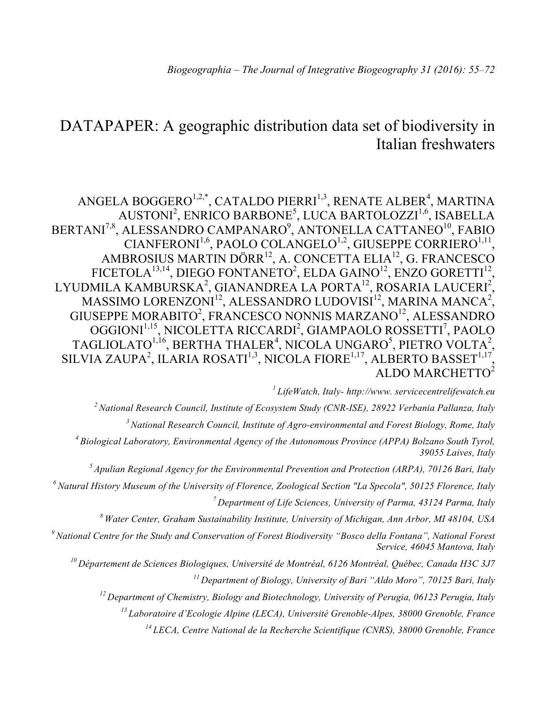# DATAPAPER: A geographic distribution data set of biodiversity in Italian freshwaters

ANGELA BOGGERO $^{1,2,*}$ , CATALDO PIERRI $^{1,3}$ , RENATE ALBER $^{4}$ , MARTINA AUSTONI<sup>2</sup>, ENRICO BARBONE<sup>5</sup>, LUCA BARTOLOZZI<sup>1,6</sup>, ISABELLA BERTANI<sup>7,8</sup>, ALESSANDRO CAMPANARO<sup>9</sup>, ANTONELLA CATTANEO<sup>10</sup>, FABIO CIANFERONI<sup>1,6</sup>, PAOLO COLANGELO<sup>1,2</sup>, GIUSEPPE CORRIERO<sup>1,11</sup> AMBROSIUS MARTIN DÖRR12, A. CONCETTA ELIA12, G. FRANCESCO FICETOLA $^{13,14}$ , DIEGO FONTANETO<sup>2</sup>, ELDA GAINO<sup>12</sup>, ENZO GORETTI<sup>12</sup>, LYUDMILA KAMBURSKA $^2$ , GIANANDREA LA PORTA $^{12}$ , ROSARIA LAUCERI $^2$ , MASSIMO LORENZONI $^{12}$ , ALESSANDRO LUDOVISI $^{12}$ , MARINA MANCA $^{2}$ , GIUSEPPE MORABITO<sup>2</sup>, FRANCESCO NONNIS MARZANO<sup>12</sup>, ALESSANDRO OGGIONI<sup>1,15</sup>, NICOLETTA RICCARDI<sup>2</sup>, GIAMPAOLO ROSSETTI<sup>7</sup>, PAOLO TAGLIOLATO $^{1,16}$ , BERTHA THALER<sup>4</sup>, NICOLA UNGARO<sup>5</sup>, PIETRO VOLTA<sup>2</sup>, SILVIA ZAUPA<sup>2</sup>, ILARIA ROSATI<sup>1,3</sup>, NICOLA FIORE<sup>1,17</sup>, ALBERTO BASSET<sup>1,17</sup>, ALDO MARCHETTO<sup>2</sup>

*1 LifeWatch, Italy- http://www. servicecentrelifewatch.eu*

*2 National Research Council, Institute of Ecosystem Study (CNR-ISE), 28922 Verbania Pallanza, Italy*

*3 National Research Council, Institute of Agro-environmental and Forest Biology, Rome, Italy*

*4 Biological Laboratory, Environmental Agency of the Autonomous Province (APPA) Bolzano South Tyrol, 39055 Laives, Italy*

*5 Apulian Regional Agency for the Environmental Prevention and Protection (ARPA), 70126 Bari, Italy*

*6 Natural History Museum of the University of Florence, Zoological Section "La Specola", 50125 Florence, Italy* 

*7 Department of Life Sciences, University of Parma, 43124 Parma, Italy*

*8 Water Center, Graham Sustainability Institute, University of Michigan, Ann Arbor, MI 48104, USA*

*9 National Centre for the Study and Conservation of Forest Biodiversity "Bosco della Fontana", National Forest Service, 46045 Mantova, Italy* 

*10 Département de Sciences Biologiques, Université de Montréal, 6126 Montréal, Québec, Canada H3C 3J7 11 Department of Biology, University of Bari "Aldo Moro", 70125 Bari, Italy*

*12 Department of Chemistry, Biology and Biotechnology, University of Perugia, 06123 Perugia, Italy*

*<sup>13</sup> Laboratoire d'Ecologie Alpine (LECA), Université Grenoble-Alpes, 38000 Grenoble, France*

*<sup>14</sup> LECA, Centre National de la Recherche Scientifique (CNRS), 38000 Grenoble, France*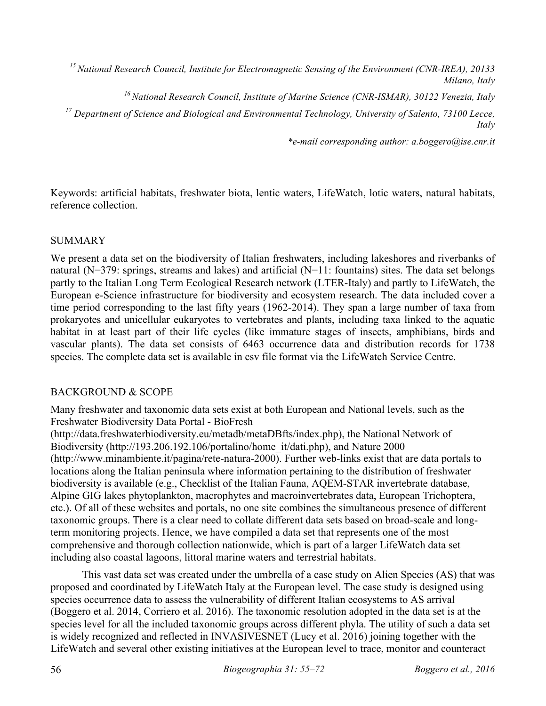*15 National Research Council, Institute for Electromagnetic Sensing of the Environment (CNR-IREA), 20133 Milano, Italy*

*16 National Research Council, Institute of Marine Science (CNR-ISMAR), 30122 Venezia, Italy*

*<sup>17</sup> Department of Science and Biological and Environmental Technology, University of Salento, 73100 Lecce, Italy*

*\*e-mail corresponding author: a.boggero@ise.cnr.it*

Keywords: artificial habitats, freshwater biota, lentic waters, LifeWatch, lotic waters, natural habitats, reference collection.

#### **SUMMARY**

We present a data set on the biodiversity of Italian freshwaters, including lakeshores and riverbanks of natural (N=379: springs, streams and lakes) and artificial (N=11: fountains) sites. The data set belongs partly to the Italian Long Term Ecological Research network (LTER-Italy) and partly to LifeWatch, the European e-Science infrastructure for biodiversity and ecosystem research. The data included cover a time period corresponding to the last fifty years (1962-2014). They span a large number of taxa from prokaryotes and unicellular eukaryotes to vertebrates and plants, including taxa linked to the aquatic habitat in at least part of their life cycles (like immature stages of insects, amphibians, birds and vascular plants). The data set consists of 6463 occurrence data and distribution records for 1738 species. The complete data set is available in csv file format via the LifeWatch Service Centre.

#### BACKGROUND & SCOPE

Many freshwater and taxonomic data sets exist at both European and National levels, such as the Freshwater Biodiversity Data Portal - BioFresh

(http://data.freshwaterbiodiversity.eu/metadb/metaDBfts/index.php), the National Network of Biodiversity (http://193.206.192.106/portalino/home\_it/dati.php), and Nature 2000 (http://www.minambiente.it/pagina/rete-natura-2000). Further web-links exist that are data portals to locations along the Italian peninsula where information pertaining to the distribution of freshwater biodiversity is available (e.g., Checklist of the Italian Fauna, AQEM-STAR invertebrate database, Alpine GIG lakes phytoplankton, macrophytes and macroinvertebrates data, European Trichoptera, etc.). Of all of these websites and portals, no one site combines the simultaneous presence of different taxonomic groups. There is a clear need to collate different data sets based on broad-scale and longterm monitoring projects. Hence, we have compiled a data set that represents one of the most comprehensive and thorough collection nationwide, which is part of a larger LifeWatch data set including also coastal lagoons, littoral marine waters and terrestrial habitats.

This vast data set was created under the umbrella of a case study on Alien Species (AS) that was proposed and coordinated by LifeWatch Italy at the European level. The case study is designed using species occurrence data to assess the vulnerability of different Italian ecosystems to AS arrival (Boggero et al. 2014, Corriero et al. 2016). The taxonomic resolution adopted in the data set is at the species level for all the included taxonomic groups across different phyla. The utility of such a data set is widely recognized and reflected in INVASIVESNET (Lucy et al. 2016) joining together with the LifeWatch and several other existing initiatives at the European level to trace, monitor and counteract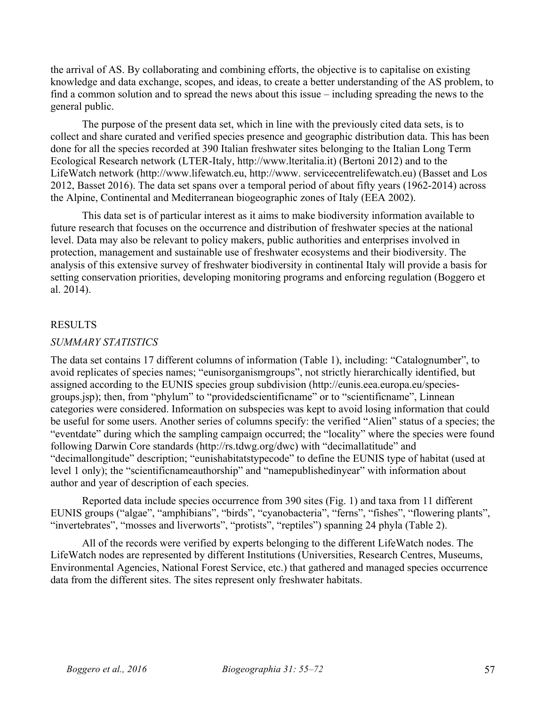the arrival of AS. By collaborating and combining efforts, the objective is to capitalise on existing knowledge and data exchange, scopes, and ideas, to create a better understanding of the AS problem, to find a common solution and to spread the news about this issue – including spreading the news to the general public.

The purpose of the present data set, which in line with the previously cited data sets, is to collect and share curated and verified species presence and geographic distribution data. This has been done for all the species recorded at 390 Italian freshwater sites belonging to the Italian Long Term Ecological Research network (LTER-Italy, http://www.lteritalia.it) (Bertoni 2012) and to the LifeWatch network (http://www.lifewatch.eu, http://www. servicecentrelifewatch.eu) (Basset and Los 2012, Basset 2016). The data set spans over a temporal period of about fifty years (1962-2014) across the Alpine, Continental and Mediterranean biogeographic zones of Italy (EEA 2002).

This data set is of particular interest as it aims to make biodiversity information available to future research that focuses on the occurrence and distribution of freshwater species at the national level. Data may also be relevant to policy makers, public authorities and enterprises involved in protection, management and sustainable use of freshwater ecosystems and their biodiversity. The analysis of this extensive survey of freshwater biodiversity in continental Italy will provide a basis for setting conservation priorities, developing monitoring programs and enforcing regulation (Boggero et al. 2014).

#### RESULTS

#### *SUMMARY STATISTICS*

The data set contains 17 different columns of information (Table 1), including: "Catalognumber", to avoid replicates of species names; "eunisorganismgroups", not strictly hierarchically identified, but assigned according to the EUNIS species group subdivision (http://eunis.eea.europa.eu/speciesgroups.jsp); then, from "phylum" to "providedscientificname" or to "scientificname", Linnean categories were considered. Information on subspecies was kept to avoid losing information that could be useful for some users. Another series of columns specify: the verified "Alien" status of a species; the "eventdate" during which the sampling campaign occurred; the "locality" where the species were found following Darwin Core standards (http://rs.tdwg.org/dwc) with "decimallatitude" and "decimallongitude" description; "eunishabitatstypecode" to define the EUNIS type of habitat (used at level 1 only); the "scientificnameauthorship" and "namepublishedinyear" with information about author and year of description of each species.

Reported data include species occurrence from 390 sites (Fig. 1) and taxa from 11 different EUNIS groups ("algae", "amphibians", "birds", "cyanobacteria", "ferns", "fishes", "flowering plants", "invertebrates", "mosses and liverworts", "protists", "reptiles") spanning 24 phyla (Table 2).

All of the records were verified by experts belonging to the different LifeWatch nodes. The LifeWatch nodes are represented by different Institutions (Universities, Research Centres, Museums, Environmental Agencies, National Forest Service, etc.) that gathered and managed species occurrence data from the different sites. The sites represent only freshwater habitats.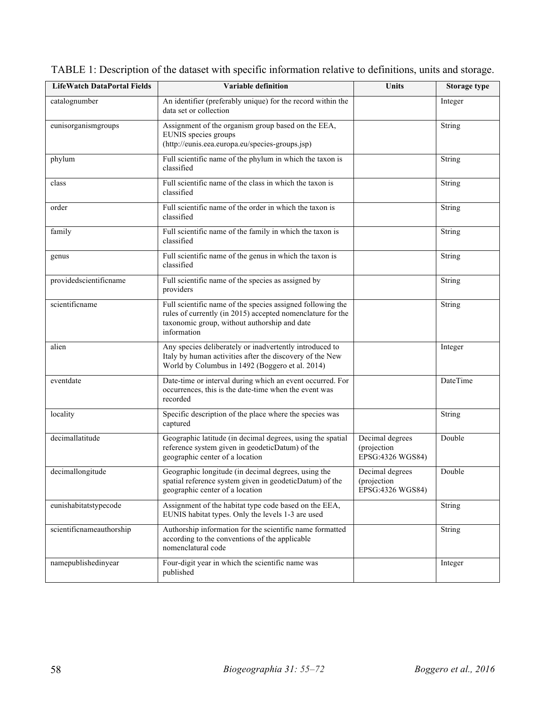| <b>LifeWatch DataPortal Fields</b> | Variable definition                                                                                                                                                                     | Units                                               | <b>Storage type</b> |
|------------------------------------|-----------------------------------------------------------------------------------------------------------------------------------------------------------------------------------------|-----------------------------------------------------|---------------------|
| catalognumber                      | An identifier (preferably unique) for the record within the<br>data set or collection                                                                                                   |                                                     | Integer             |
| eunisorganismgroups                | Assignment of the organism group based on the EEA,<br>EUNIS species groups<br>(http://eunis.eea.europa.eu/species-groups.jsp)                                                           |                                                     | String              |
| phylum                             | Full scientific name of the phylum in which the taxon is<br>classified                                                                                                                  |                                                     | String              |
| class                              | Full scientific name of the class in which the taxon is<br>classified                                                                                                                   |                                                     | String              |
| order                              | Full scientific name of the order in which the taxon is<br>classified                                                                                                                   |                                                     | String              |
| family                             | Full scientific name of the family in which the taxon is<br>classified                                                                                                                  |                                                     | <b>String</b>       |
| genus                              | Full scientific name of the genus in which the taxon is<br>classified                                                                                                                   |                                                     | String              |
| providedscientificname             | Full scientific name of the species as assigned by<br>providers                                                                                                                         |                                                     | <b>String</b>       |
| scientificname                     | Full scientific name of the species assigned following the<br>rules of currently (in 2015) accepted nomenclature for the<br>taxonomic group, without authorship and date<br>information |                                                     | String              |
| alien                              | Any species deliberately or inadvertently introduced to<br>Italy by human activities after the discovery of the New<br>World by Columbus in 1492 (Boggero et al. 2014)                  |                                                     | Integer             |
| eventdate                          | Date-time or interval during which an event occurred. For<br>occurrences, this is the date-time when the event was<br>recorded                                                          |                                                     | DateTime            |
| locality                           | Specific description of the place where the species was<br>captured                                                                                                                     |                                                     | String              |
| decimallatitude                    | Geographic latitude (in decimal degrees, using the spatial<br>reference system given in geodeticDatum) of the<br>geographic center of a location                                        | Decimal degrees<br>(projection<br>EPSG:4326 WGS84)  | Double              |
| decimallongitude                   | Geographic longitude (in decimal degrees, using the<br>spatial reference system given in geodeticDatum) of the<br>geographic center of a location                                       | Decimal degrees<br>(projection)<br>EPSG:4326 WGS84) | Double              |
| eunishabitatstypecode              | Assignment of the habitat type code based on the EEA,<br>EUNIS habitat types. Only the levels 1-3 are used                                                                              |                                                     | String              |
| scientificnameauthorship           | Authorship information for the scientific name formatted<br>according to the conventions of the applicable<br>nomenclatural code                                                        |                                                     | <b>String</b>       |
| namepublishedinyear                | Four-digit year in which the scientific name was<br>published                                                                                                                           |                                                     | Integer             |

|  | TABLE 1: Description of the dataset with specific information relative to definitions, units and storage. |  |  |
|--|-----------------------------------------------------------------------------------------------------------|--|--|
|  |                                                                                                           |  |  |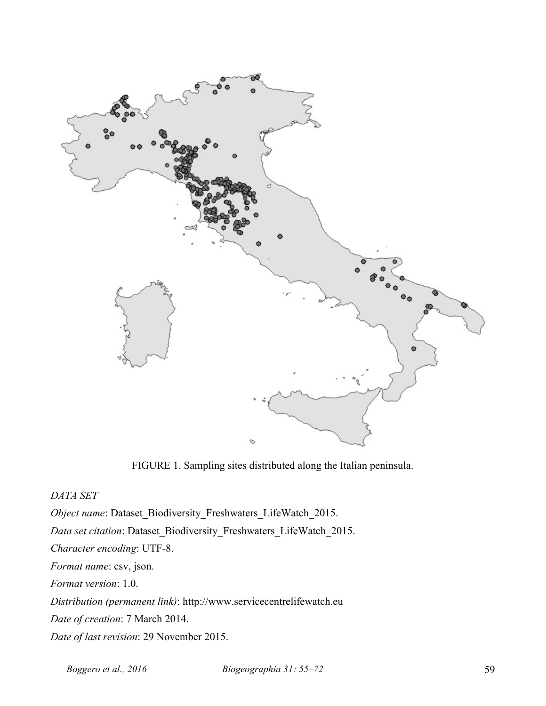

FIGURE 1. Sampling sites distributed along the Italian peninsula.

*DATA SET*

*Object name*: Dataset\_Biodiversity\_Freshwaters\_LifeWatch\_2015.

*Data set citation*: Dataset\_Biodiversity\_Freshwaters\_LifeWatch\_2015.

*Character encoding*: UTF-8.

*Format name*: csv, json.

*Format version*: 1.0.

*Distribution (permanent link)*: http://www.servicecentrelifewatch.eu

*Date of creation*: 7 March 2014.

*Date of last revision*: 29 November 2015.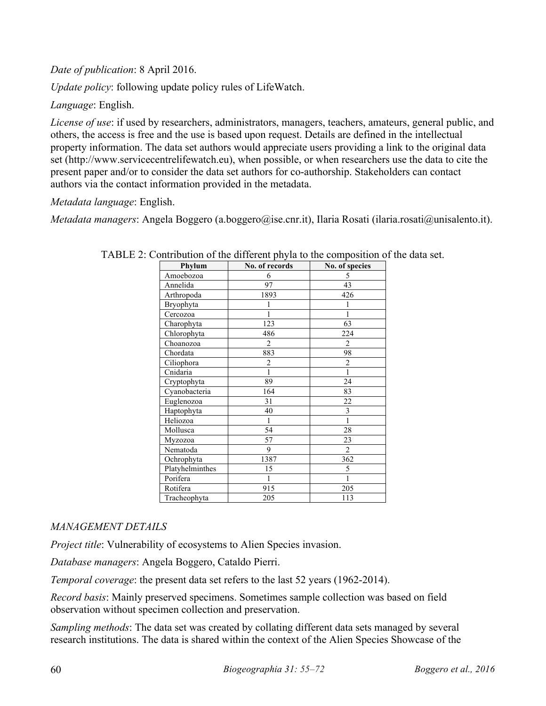*Date of publication*: 8 April 2016.

*Update policy*: following update policy rules of LifeWatch.

*Language*: English.

*License of use*: if used by researchers, administrators, managers, teachers, amateurs, general public, and others, the access is free and the use is based upon request. Details are defined in the intellectual property information. The data set authors would appreciate users providing a link to the original data set (http://www.servicecentrelifewatch.eu), when possible, or when researchers use the data to cite the present paper and/or to consider the data set authors for co-authorship. Stakeholders can contact authors via the contact information provided in the metadata.

*Metadata language*: English.

*Metadata managers*: Angela Boggero (a.boggero@ise.cnr.it), Ilaria Rosati (ilaria.rosati@unisalento.it).

| Phylum          | No. of records | No. of species |
|-----------------|----------------|----------------|
| Amoebozoa       | 6              | 5              |
| Annelida        | 97             | 43             |
| Arthropoda      | 1893           | 426            |
| Bryophyta       |                |                |
| Cercozoa        |                |                |
| Charophyta      | 123            | 63             |
| Chlorophyta     | 486            | 224            |
| Choanozoa       | $\overline{2}$ | $\overline{2}$ |
| Chordata        | 883            | 98             |
| Ciliophora      | $\overline{2}$ | 2              |
| Cnidaria        | 1              | $\mathbf{1}$   |
| Cryptophyta     | 89             | 24             |
| Cyanobacteria   | 164            | 83             |
| Euglenozoa      | 31             | 22             |
| Haptophyta      | 40             | 3              |
| Heliozoa        | 1              | 1              |
| Mollusca        | 54             | 28             |
| Myzozoa         | 57             | 23             |
| Nematoda        | 9              | $\overline{2}$ |
| Ochrophyta      | 1387           | 362            |
| Platyhelminthes | 15             | 5              |
| Porifera        | 1              | 1              |
| Rotifera        | 915            | 205            |
| Tracheophyta    | 205            | 113            |

TABLE 2: Contribution of the different phyla to the composition of the data set.

### *MANAGEMENT DETAILS*

*Project title*: Vulnerability of ecosystems to Alien Species invasion.

*Database managers*: Angela Boggero, Cataldo Pierri.

*Temporal coverage*: the present data set refers to the last 52 years (1962-2014).

*Record basis*: Mainly preserved specimens. Sometimes sample collection was based on field observation without specimen collection and preservation.

*Sampling methods*: The data set was created by collating different data sets managed by several research institutions. The data is shared within the context of the Alien Species Showcase of the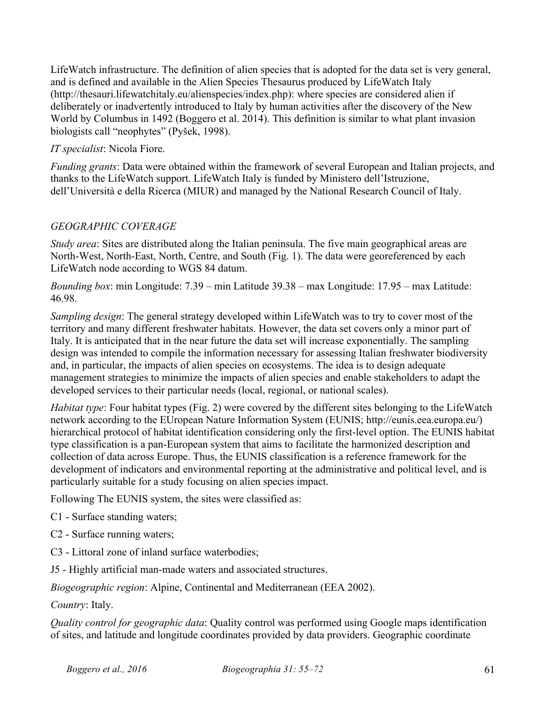LifeWatch infrastructure. The definition of alien species that is adopted for the data set is very general, and is defined and available in the Alien Species Thesaurus produced by LifeWatch Italy (http://thesauri.lifewatchitaly.eu/alienspecies/index.php): where species are considered alien if deliberately or inadvertently introduced to Italy by human activities after the discovery of the New World by Columbus in 1492 (Boggero et al. 2014). This definition is similar to what plant invasion biologists call "neophytes" (Pyšek, 1998).

#### *IT specialist*: Nicola Fiore.

*Funding grants*: Data were obtained within the framework of several European and Italian projects, and thanks to the LifeWatch support. LifeWatch Italy is funded by Ministero dell'Istruzione, dell'Università e della Ricerca (MIUR) and managed by the National Research Council of Italy.

### *GEOGRAPHIC COVERAGE*

*Study area*: Sites are distributed along the Italian peninsula. The five main geographical areas are North-West, North-East, North, Centre, and South (Fig. 1). The data were georeferenced by each LifeWatch node according to WGS 84 datum.

*Bounding box*: min Longitude: 7.39 – min Latitude 39.38 – max Longitude: 17.95 – max Latitude: 46.98.

*Sampling design*: The general strategy developed within LifeWatch was to try to cover most of the territory and many different freshwater habitats. However, the data set covers only a minor part of Italy. It is anticipated that in the near future the data set will increase exponentially. The sampling design was intended to compile the information necessary for assessing Italian freshwater biodiversity and, in particular, the impacts of alien species on ecosystems. The idea is to design adequate management strategies to minimize the impacts of alien species and enable stakeholders to adapt the developed services to their particular needs (local, regional, or national scales).

*Habitat type*: Four habitat types (Fig. 2) were covered by the different sites belonging to the LifeWatch network according to the EUropean Nature Information System (EUNIS; http://eunis.eea.europa.eu/) hierarchical protocol of habitat identification considering only the first-level option. The EUNIS habitat type classification is a pan-European system that aims to facilitate the harmonized description and collection of data across Europe. Thus, the EUNIS classification is a reference framework for the development of indicators and environmental reporting at the administrative and political level, and is particularly suitable for a study focusing on alien species impact.

Following The EUNIS system, the sites were classified as:

- C1 Surface standing waters;
- C2 Surface running waters;
- C3 Littoral zone of inland surface waterbodies;
- J5 Highly artificial man-made waters and associated structures.

*Biogeographic region*: Alpine, Continental and Mediterranean (EEA 2002).

*Country*: Italy.

*Quality control for geographic data*: Quality control was performed using Google maps identification of sites, and latitude and longitude coordinates provided by data providers. Geographic coordinate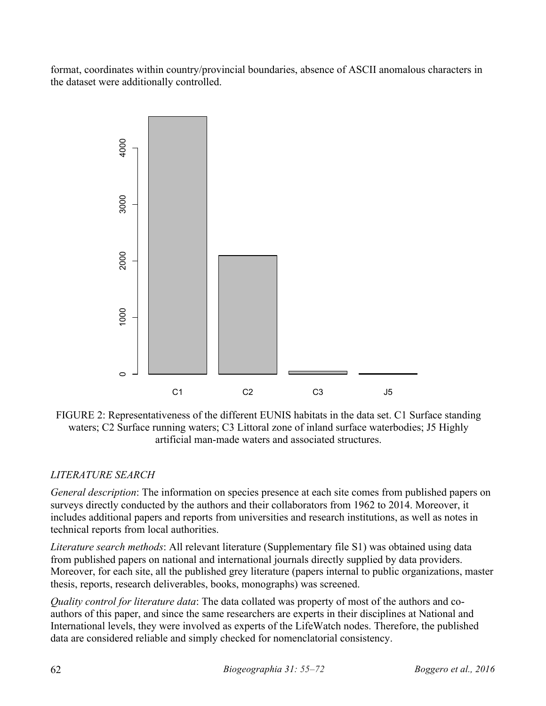format, coordinates within country/provincial boundaries, absence of ASCII anomalous characters in the dataset were additionally controlled.



FIGURE 2: Representativeness of the different EUNIS habitats in the data set. C1 Surface standing waters; C2 Surface running waters; C3 Littoral zone of inland surface waterbodies; J5 Highly artificial man-made waters and associated structures.

## *LITERATURE SEARCH*

*General description*: The information on species presence at each site comes from published papers on surveys directly conducted by the authors and their collaborators from 1962 to 2014. Moreover, it includes additional papers and reports from universities and research institutions, as well as notes in technical reports from local authorities.

*Literature search methods*: All relevant literature (Supplementary file S1) was obtained using data from published papers on national and international journals directly supplied by data providers. Moreover, for each site, all the published grey literature (papers internal to public organizations, master thesis, reports, research deliverables, books, monographs) was screened.

*Quality control for literature data*: The data collated was property of most of the authors and coauthors of this paper, and since the same researchers are experts in their disciplines at National and International levels, they were involved as experts of the LifeWatch nodes. Therefore, the published data are considered reliable and simply checked for nomenclatorial consistency.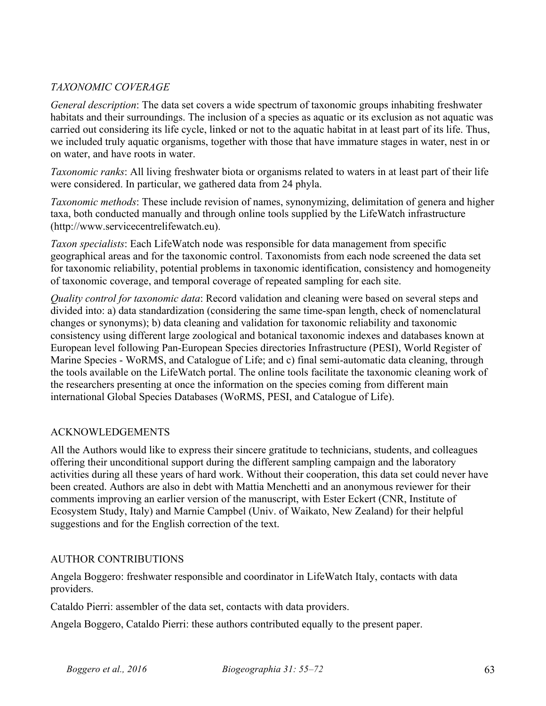#### *TAXONOMIC COVERAGE*

*General description*: The data set covers a wide spectrum of taxonomic groups inhabiting freshwater habitats and their surroundings. The inclusion of a species as aquatic or its exclusion as not aquatic was carried out considering its life cycle, linked or not to the aquatic habitat in at least part of its life. Thus, we included truly aquatic organisms, together with those that have immature stages in water, nest in or on water, and have roots in water.

*Taxonomic ranks*: All living freshwater biota or organisms related to waters in at least part of their life were considered. In particular, we gathered data from 24 phyla.

*Taxonomic methods*: These include revision of names, synonymizing, delimitation of genera and higher taxa, both conducted manually and through online tools supplied by the LifeWatch infrastructure (http://www.servicecentrelifewatch.eu).

*Taxon specialists*: Each LifeWatch node was responsible for data management from specific geographical areas and for the taxonomic control. Taxonomists from each node screened the data set for taxonomic reliability, potential problems in taxonomic identification, consistency and homogeneity of taxonomic coverage, and temporal coverage of repeated sampling for each site.

*Quality control for taxonomic data*: Record validation and cleaning were based on several steps and divided into: a) data standardization (considering the same time-span length, check of nomenclatural changes or synonyms); b) data cleaning and validation for taxonomic reliability and taxonomic consistency using different large zoological and botanical taxonomic indexes and databases known at European level following Pan-European Species directories Infrastructure (PESI), World Register of Marine Species - WoRMS, and Catalogue of Life; and c) final semi-automatic data cleaning, through the tools available on the LifeWatch portal. The online tools facilitate the taxonomic cleaning work of the researchers presenting at once the information on the species coming from different main international Global Species Databases (WoRMS, PESI, and Catalogue of Life).

#### ACKNOWLEDGEMENTS

All the Authors would like to express their sincere gratitude to technicians, students, and colleagues offering their unconditional support during the different sampling campaign and the laboratory activities during all these years of hard work. Without their cooperation, this data set could never have been created. Authors are also in debt with Mattia Menchetti and an anonymous reviewer for their comments improving an earlier version of the manuscript, with Ester Eckert (CNR, Institute of Ecosystem Study, Italy) and Marnie Campbel (Univ. of Waikato, New Zealand) for their helpful suggestions and for the English correction of the text.

#### AUTHOR CONTRIBUTIONS

Angela Boggero: freshwater responsible and coordinator in LifeWatch Italy, contacts with data providers.

Cataldo Pierri: assembler of the data set, contacts with data providers.

Angela Boggero, Cataldo Pierri: these authors contributed equally to the present paper.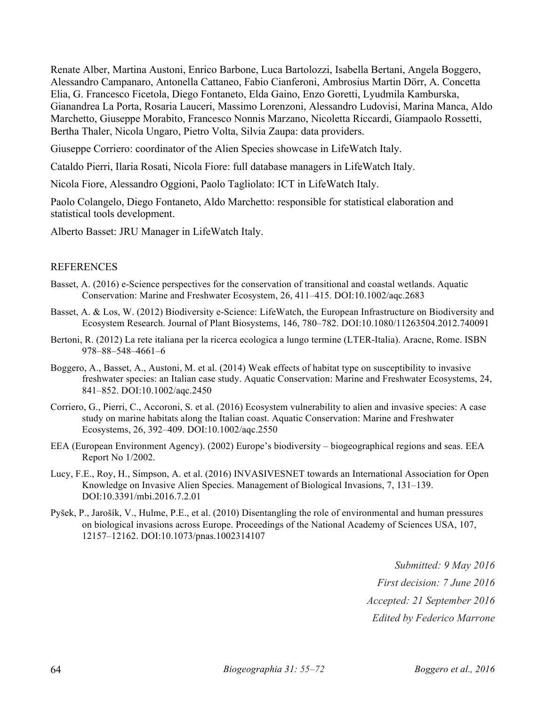Renate Alber, Martina Austoni, Enrico Barbone, Luca Bartolozzi, Isabella Bertani, Angela Boggero, Alessandro Campanaro, Antonella Cattaneo, Fabio Cianferoni, Ambrosius Martin Dörr, A. Concetta Elia, G. Francesco Ficetola, Diego Fontaneto, Elda Gaino, Enzo Goretti, Lyudmila Kamburska, Gianandrea La Porta, Rosaria Lauceri, Massimo Lorenzoni, Alessandro Ludovisi, Marina Manca, Aldo Marchetto, Giuseppe Morabito, Francesco Nonnis Marzano, Nicoletta Riccardi, Giampaolo Rossetti, Bertha Thaler, Nicola Ungaro, Pietro Volta, Silvia Zaupa: data providers.

Giuseppe Corriero: coordinator of the Alien Species showcase in LifeWatch Italy.

Cataldo Pierri, Ilaria Rosati, Nicola Fiore: full database managers in LifeWatch Italy.

Nicola Fiore, Alessandro Oggioni, Paolo Tagliolato: ICT in LifeWatch Italy.

Paolo Colangelo, Diego Fontaneto, Aldo Marchetto: responsible for statistical elaboration and statistical tools development.

Alberto Basset: JRU Manager in LifeWatch Italy.

#### REFERENCES

- Basset, A. (2016) e-Science perspectives for the conservation of transitional and coastal wetlands. Aquatic Conservation: Marine and Freshwater Ecosystem, 26, 411–415. DOI:10.1002/aqc.2683
- Basset, A. & Los, W. (2012) Biodiversity e-Science: LifeWatch, the European Infrastructure on Biodiversity and Ecosystem Research. Journal of Plant Biosystems, 146, 780–782. DOI:10.1080/11263504.2012.740091
- Bertoni, R. (2012) La rete italiana per la ricerca ecologica a lungo termine (LTER-Italia). Aracne, Rome. ISBN 978–88–548–4661–6
- Boggero, A., Basset, A., Austoni, M. et al. (2014) Weak effects of habitat type on susceptibility to invasive freshwater species: an Italian case study. Aquatic Conservation: Marine and Freshwater Ecosystems, 24, 841–852. DOI:10.1002/aqc.2450
- Corriero, G., Pierri, C., Accoroni, S. et al. (2016) Ecosystem vulnerability to alien and invasive species: A case study on marine habitats along the Italian coast. Aquatic Conservation: Marine and Freshwater Ecosystems, 26, 392–409. DOI:10.1002/aqc.2550
- EEA (European Environment Agency). (2002) Europe's biodiversity biogeographical regions and seas. EEA Report No 1/2002.
- Lucy, F.E., Roy, H., Simpson, A. et al. (2016) INVASIVESNET towards an International Association for Open Knowledge on Invasive Alien Species. Management of Biological Invasions, 7, 131–139. DOI:10.3391/mbi.2016.7.2.01
- Pyšek, P., Jarošík, V., Hulme, P.E., et al. (2010) Disentangling the role of environmental and human pressures on biological invasions across Europe. Proceedings of the National Academy of Sciences USA, 107, 12157–12162. DOI:10.1073/pnas.1002314107

*Submitted: 9 May 2016 First decision: 7 June 2016 Accepted: 21 September 2016 Edited by Federico Marrone*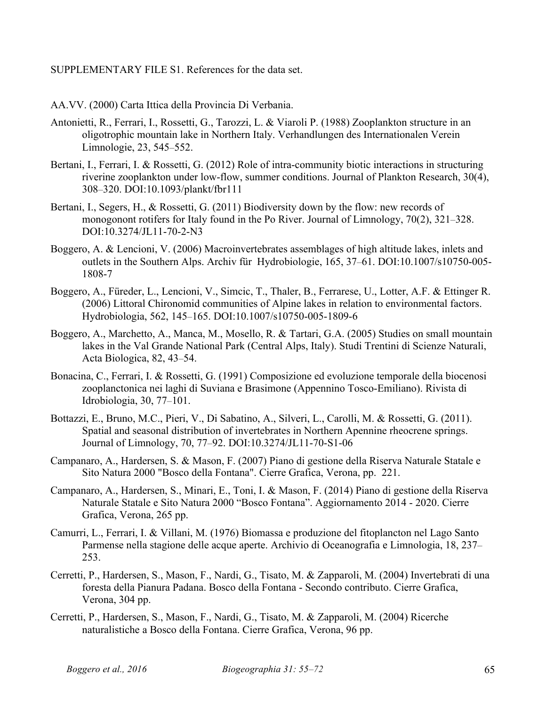#### SUPPLEMENTARY FILE S1. References for the data set.

- AA.VV. (2000) Carta Ittica della Provincia Di Verbania.
- Antonietti, R., Ferrari, I., Rossetti, G., Tarozzi, L. & Viaroli P. (1988) Zooplankton structure in an oligotrophic mountain lake in Northern Italy. Verhandlungen des Internationalen Verein Limnologie, 23, 545–552.
- Bertani, I., Ferrari, I. & Rossetti, G. (2012) Role of intra-community biotic interactions in structuring riverine zooplankton under low-flow, summer conditions. Journal of Plankton Research, 30(4), 308–320. DOI:10.1093/plankt/fbr111
- Bertani, I., Segers, H., & Rossetti, G. (2011) Biodiversity down by the flow: new records of monogonont rotifers for Italy found in the Po River. Journal of Limnology, 70(2), 321–328. DOI:10.3274/JL11-70-2-N3
- Boggero, A. & Lencioni, V. (2006) Macroinvertebrates assemblages of high altitude lakes, inlets and outlets in the Southern Alps. Archiv für Hydrobiologie, 165, 37–61. DOI:10.1007/s10750-005- 1808-7
- Boggero, A., Füreder, L., Lencioni, V., Simcic, T., Thaler, B., Ferrarese, U., Lotter, A.F. & Ettinger R. (2006) Littoral Chironomid communities of Alpine lakes in relation to environmental factors. Hydrobiologia, 562, 145–165. DOI:10.1007/s10750-005-1809-6
- Boggero, A., Marchetto, A., Manca, M., Mosello, R. & Tartari, G.A. (2005) Studies on small mountain lakes in the Val Grande National Park (Central Alps, Italy). Studi Trentini di Scienze Naturali, Acta Biologica, 82, 43–54.
- Bonacina, C., Ferrari, I. & Rossetti, G. (1991) Composizione ed evoluzione temporale della biocenosi zooplanctonica nei laghi di Suviana e Brasimone (Appennino Tosco-Emiliano). Rivista di Idrobiologia, 30, 77–101.
- Bottazzi, E., Bruno, M.C., Pieri, V., Di Sabatino, A., Silveri, L., Carolli, M. & Rossetti, G. (2011). Spatial and seasonal distribution of invertebrates in Northern Apennine rheocrene springs. Journal of Limnology, 70, 77–92. DOI:10.3274/JL11-70-S1-06
- Campanaro, A., Hardersen, S. & Mason, F. (2007) Piano di gestione della Riserva Naturale Statale e Sito Natura 2000 "Bosco della Fontana". Cierre Grafica, Verona, pp. 221.
- Campanaro, A., Hardersen, S., Minari, E., Toni, I. & Mason, F. (2014) Piano di gestione della Riserva Naturale Statale e Sito Natura 2000 "Bosco Fontana". Aggiornamento 2014 - 2020. Cierre Grafica, Verona, 265 pp.
- Camurri, L., Ferrari, I. & Villani, M. (1976) Biomassa e produzione del fitoplancton nel Lago Santo Parmense nella stagione delle acque aperte. Archivio di Oceanografia e Limnologia, 18, 237– 253.
- Cerretti, P., Hardersen, S., Mason, F., Nardi, G., Tisato, M. & Zapparoli, M. (2004) Invertebrati di una foresta della Pianura Padana. Bosco della Fontana - Secondo contributo. Cierre Grafica, Verona, 304 pp.
- Cerretti, P., Hardersen, S., Mason, F., Nardi, G., Tisato, M. & Zapparoli, M. (2004) Ricerche naturalistiche a Bosco della Fontana. Cierre Grafica, Verona, 96 pp.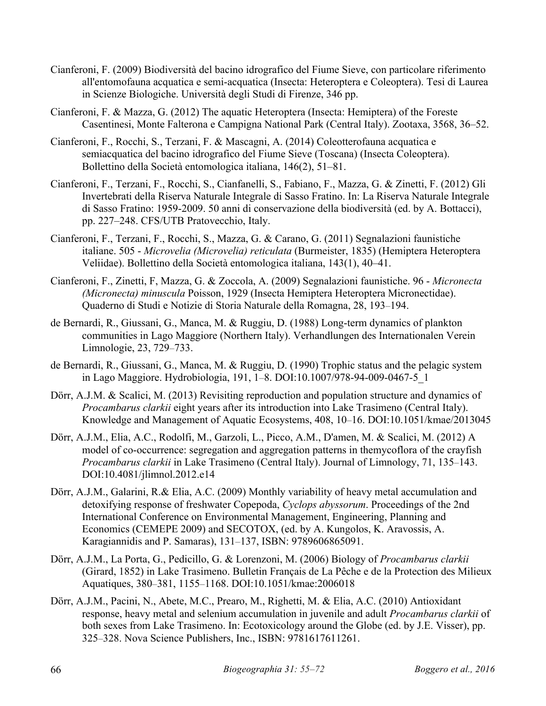- Cianferoni, F. (2009) Biodiversità del bacino idrografico del Fiume Sieve, con particolare riferimento all'entomofauna acquatica e semi-acquatica (Insecta: Heteroptera e Coleoptera). Tesi di Laurea in Scienze Biologiche. Università degli Studi di Firenze, 346 pp.
- Cianferoni, F. & Mazza, G. (2012) The aquatic Heteroptera (Insecta: Hemiptera) of the Foreste Casentinesi, Monte Falterona e Campigna National Park (Central Italy). Zootaxa, 3568, 36–52.
- Cianferoni, F., Rocchi, S., Terzani, F. & Mascagni, A. (2014) Coleotterofauna acquatica e semiacquatica del bacino idrografico del Fiume Sieve (Toscana) (Insecta Coleoptera). Bollettino della Società entomologica italiana, 146(2), 51–81.
- Cianferoni, F., Terzani, F., Rocchi, S., Cianfanelli, S., Fabiano, F., Mazza, G. & Zinetti, F. (2012) Gli Invertebrati della Riserva Naturale Integrale di Sasso Fratino. In: La Riserva Naturale Integrale di Sasso Fratino: 1959-2009. 50 anni di conservazione della biodiversità (ed. by A. Bottacci), pp. 227–248. CFS/UTB Pratovecchio, Italy.
- Cianferoni, F., Terzani, F., Rocchi, S., Mazza, G. & Carano, G. (2011) Segnalazioni faunistiche italiane. 505 - *Microvelia (Microvelia) reticulata* (Burmeister, 1835) (Hemiptera Heteroptera Veliidae). Bollettino della Società entomologica italiana, 143(1), 40–41.
- Cianferoni, F., Zinetti, F, Mazza, G. & Zoccola, A. (2009) Segnalazioni faunistiche. 96 *Micronecta (Micronecta) minuscula* Poisson, 1929 (Insecta Hemiptera Heteroptera Micronectidae). Quaderno di Studi e Notizie di Storia Naturale della Romagna, 28, 193–194.
- de Bernardi, R., Giussani, G., Manca, M. & Ruggiu, D. (1988) Long-term dynamics of plankton communities in Lago Maggiore (Northern Italy). Verhandlungen des Internationalen Verein Limnologie, 23, 729–733.
- de Bernardi, R., Giussani, G., Manca, M. & Ruggiu, D. (1990) Trophic status and the pelagic system in Lago Maggiore. Hydrobiologia, 191, 1–8. DOI:10.1007/978-94-009-0467-5\_1
- Dörr, A.J.M. & Scalici, M. (2013) Revisiting reproduction and population structure and dynamics of *Procambarus clarkii* eight years after its introduction into Lake Trasimeno (Central Italy). Knowledge and Management of Aquatic Ecosystems, 408, 10–16. DOI:10.1051/kmae/2013045
- Dörr, A.J.M., Elia, A.C., Rodolfi, M., Garzoli, L., Picco, A.M., D'amen, M. & Scalici, M. (2012) A model of co-occurrence: segregation and aggregation patterns in themycoflora of the crayfish *Procambarus clarkii* in Lake Trasimeno (Central Italy). Journal of Limnology, 71, 135–143. DOI:10.4081/jlimnol.2012.e14
- Dörr, A.J.M., Galarini, R.& Elia, A.C. (2009) Monthly variability of heavy metal accumulation and detoxifying response of freshwater Copepoda, *Cyclops abyssorum*. Proceedings of the 2nd International Conference on Environmental Management, Engineering, Planning and Economics (CEMEPE 2009) and SECOTOX, (ed. by A. Kungolos, K. Aravossis, A. Karagiannidis and P. Samaras), 131–137, ISBN: 9789606865091.
- Dörr, A.J.M., La Porta, G., Pedicillo, G. & Lorenzoni, M. (2006) Biology of *Procambarus clarkii* (Girard, 1852) in Lake Trasimeno. Bulletin Français de La Pêche e de la Protection des Milieux Aquatiques, 380–381, 1155–1168. DOI:10.1051/kmae:2006018
- Dörr, A.J.M., Pacini, N., Abete, M.C., Prearo, M., Righetti, M. & Elia, A.C. (2010) Antioxidant response, heavy metal and selenium accumulation in juvenile and adult *Procambarus clarkii* of both sexes from Lake Trasimeno. In: Ecotoxicology around the Globe (ed. by J.E. Visser), pp. 325–328. Nova Science Publishers, Inc., ISBN: 9781617611261.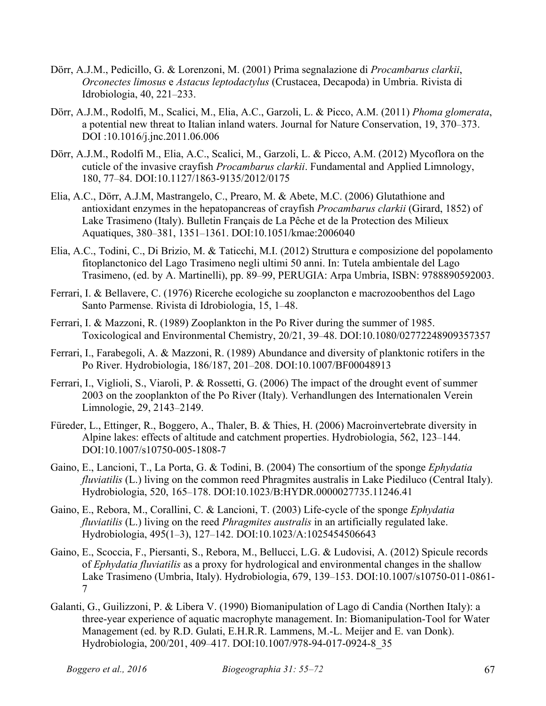- Dörr, A.J.M., Pedicillo, G. & Lorenzoni, M. (2001) Prima segnalazione di *Procambarus clarkii*, *Orconectes limosus* e *Astacus leptodactylus* (Crustacea, Decapoda) in Umbria. Rivista di Idrobiologia, 40, 221–233.
- Dörr, A.J.M., Rodolfi, M., Scalici, M., Elia, A.C., Garzoli, L. & Picco, A.M. (2011) *Phoma glomerata*, a potential new threat to Italian inland waters. Journal for Nature Conservation, 19, 370–373. DOI :10.1016/j.jnc.2011.06.006
- Dörr, A.J.M., Rodolfi M., Elia, A.C., Scalici, M., Garzoli, L. & Picco, A.M. (2012) Mycoflora on the cuticle of the invasive crayfish *Procambarus clarkii*. Fundamental and Applied Limnology, 180, 77–84. DOI:10.1127/1863-9135/2012/0175
- Elia, A.C., Dörr, A.J.M, Mastrangelo, C., Prearo, M. & Abete, M.C. (2006) Glutathione and antioxidant enzymes in the hepatopancreas of crayfish *Procambarus clarkii* (Girard, 1852) of Lake Trasimeno (Italy). Bulletin Français de La Pêche et de la Protection des Milieux Aquatiques, 380–381, 1351–1361. DOI:10.1051/kmae:2006040
- Elia, A.C., Todini, C., Di Brizio, M. & Taticchi, M.I. (2012) Struttura e composizione del popolamento fitoplanctonico del Lago Trasimeno negli ultimi 50 anni. In: Tutela ambientale del Lago Trasimeno, (ed. by A. Martinelli), pp. 89–99, PERUGIA: Arpa Umbria, ISBN: 9788890592003.
- Ferrari, I. & Bellavere, C. (1976) Ricerche ecologiche su zooplancton e macrozoobenthos del Lago Santo Parmense. Rivista di Idrobiologia, 15, 1–48.
- Ferrari, I. & Mazzoni, R. (1989) Zooplankton in the Po River during the summer of 1985. Toxicological and Environmental Chemistry, 20/21, 39–48. DOI:10.1080/02772248909357357
- Ferrari, I., Farabegoli, A. & Mazzoni, R. (1989) Abundance and diversity of planktonic rotifers in the Po River. Hydrobiologia, 186/187, 201–208. DOI:10.1007/BF00048913
- Ferrari, I., Viglioli, S., Viaroli, P. & Rossetti, G. (2006) The impact of the drought event of summer 2003 on the zooplankton of the Po River (Italy). Verhandlungen des Internationalen Verein Limnologie, 29, 2143–2149.
- Füreder, L., Ettinger, R., Boggero, A., Thaler, B. & Thies, H. (2006) Macroinvertebrate diversity in Alpine lakes: effects of altitude and catchment properties. Hydrobiologia, 562, 123–144. DOI:10.1007/s10750-005-1808-7
- Gaino, E., Lancioni, T., La Porta, G. & Todini, B. (2004) The consortium of the sponge *Ephydatia fluviatilis* (L.) living on the common reed Phragmites australis in Lake Piediluco (Central Italy). Hydrobiologia, 520, 165–178. DOI:10.1023/B:HYDR.0000027735.11246.41
- Gaino, E., Rebora, M., Corallini, C. & Lancioni, T. (2003) Life-cycle of the sponge *Ephydatia fluviatilis* (L.) living on the reed *Phragmites australis* in an artificially regulated lake. Hydrobiologia, 495(1–3), 127–142. DOI:10.1023/A:1025454506643
- Gaino, E., Scoccia, F., Piersanti, S., Rebora, M., Bellucci, L.G. & Ludovisi, A. (2012) Spicule records of *Ephydatia fluviatilis* as a proxy for hydrological and environmental changes in the shallow Lake Trasimeno (Umbria, Italy). Hydrobiologia, 679, 139–153. DOI:10.1007/s10750-011-0861- 7
- Galanti, G., Guilizzoni, P. & Libera V. (1990) Biomanipulation of Lago di Candia (Northen Italy): a three-year experience of aquatic macrophyte management. In: Biomanipulation-Tool for Water Management (ed. by R.D. Gulati, E.H.R.R. Lammens, M.-L. Meijer and E. van Donk). Hydrobiologia, 200/201, 409–417. DOI:10.1007/978-94-017-0924-8\_35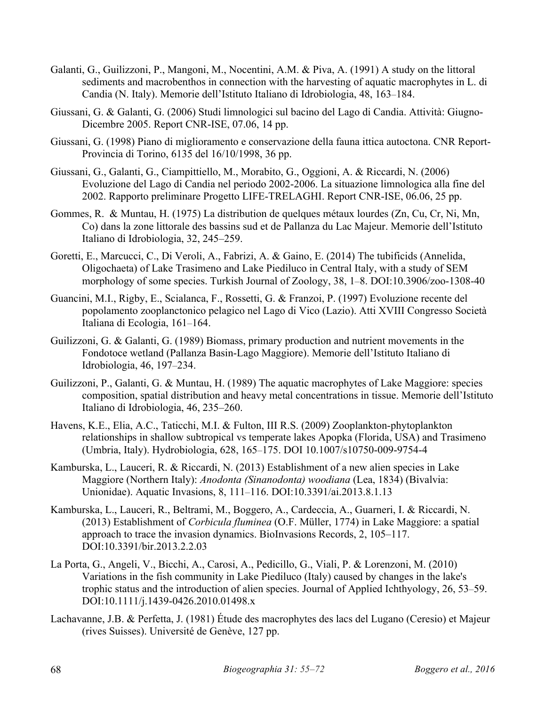- Galanti, G., Guilizzoni, P., Mangoni, M., Nocentini, A.M. & Piva, A. (1991) A study on the littoral sediments and macrobenthos in connection with the harvesting of aquatic macrophytes in L. di Candia (N. Italy). Memorie dell'Istituto Italiano di Idrobiologia, 48, 163–184.
- Giussani, G. & Galanti, G. (2006) Studi limnologici sul bacino del Lago di Candia. Attività: Giugno-Dicembre 2005. Report CNR-ISE, 07.06, 14 pp.
- Giussani, G. (1998) Piano di miglioramento e conservazione della fauna ittica autoctona. CNR Report-Provincia di Torino, 6135 del 16/10/1998, 36 pp.
- Giussani, G., Galanti, G., Ciampittiello, M., Morabito, G., Oggioni, A. & Riccardi, N. (2006) Evoluzione del Lago di Candia nel periodo 2002-2006. La situazione limnologica alla fine del 2002. Rapporto preliminare Progetto LIFE-TRELAGHI. Report CNR-ISE, 06.06, 25 pp.
- Gommes, R. & Muntau, H. (1975) La distribution de quelques métaux lourdes (Zn, Cu, Cr, Ni, Mn, Co) dans la zone littorale des bassins sud et de Pallanza du Lac Majeur. Memorie dell'Istituto Italiano di Idrobiologia, 32, 245–259.
- Goretti, E., Marcucci, C., Di Veroli, A., Fabrizi, A. & Gaino, E. (2014) The tubificids (Annelida, Oligochaeta) of Lake Trasimeno and Lake Piediluco in Central Italy, with a study of SEM morphology of some species. Turkish Journal of Zoology, 38, 1–8. DOI:10.3906/zoo-1308-40
- Guancini, M.I., Rigby, E., Scialanca, F., Rossetti, G. & Franzoi, P. (1997) Evoluzione recente del popolamento zooplanctonico pelagico nel Lago di Vico (Lazio). Atti XVIII Congresso Società Italiana di Ecologia, 161–164.
- Guilizzoni, G. & Galanti, G. (1989) Biomass, primary production and nutrient movements in the Fondotoce wetland (Pallanza Basin-Lago Maggiore). Memorie dell'Istituto Italiano di Idrobiologia, 46, 197–234.
- Guilizzoni, P., Galanti, G. & Muntau, H. (1989) The aquatic macrophytes of Lake Maggiore: species composition, spatial distribution and heavy metal concentrations in tissue. Memorie dell'Istituto Italiano di Idrobiologia, 46, 235–260.
- Havens, K.E., Elia, A.C., Taticchi, M.I. & Fulton, III R.S. (2009) Zooplankton-phytoplankton relationships in shallow subtropical vs temperate lakes Apopka (Florida, USA) and Trasimeno (Umbria, Italy). Hydrobiologia, 628, 165–175. DOI 10.1007/s10750-009-9754-4
- Kamburska, L., Lauceri, R. & Riccardi, N. (2013) Establishment of a new alien species in Lake Maggiore (Northern Italy): *Anodonta (Sinanodonta) woodiana* (Lea, 1834) (Bivalvia: Unionidae). Aquatic Invasions, 8, 111–116. DOI:10.3391/ai.2013.8.1.13
- Kamburska, L., Lauceri, R., Beltrami, M., Boggero, A., Cardeccia, A., Guarneri, I. & Riccardi, N. (2013) Establishment of *Corbicula fluminea* (O.F. Müller, 1774) in Lake Maggiore: a spatial approach to trace the invasion dynamics. BioInvasions Records, 2, 105–117. DOI:10.3391/bir.2013.2.2.03
- La Porta, G., Angeli, V., Bicchi, A., Carosi, A., Pedicillo, G., Viali, P. & Lorenzoni, M. (2010) Variations in the fish community in Lake Piediluco (Italy) caused by changes in the lake's trophic status and the introduction of alien species. Journal of Applied Ichthyology, 26, 53–59. DOI:10.1111/j.1439-0426.2010.01498.x
- Lachavanne, J.B. & Perfetta, J. (1981) Étude des macrophytes des lacs del Lugano (Ceresio) et Majeur (rives Suisses). Université de Genève, 127 pp.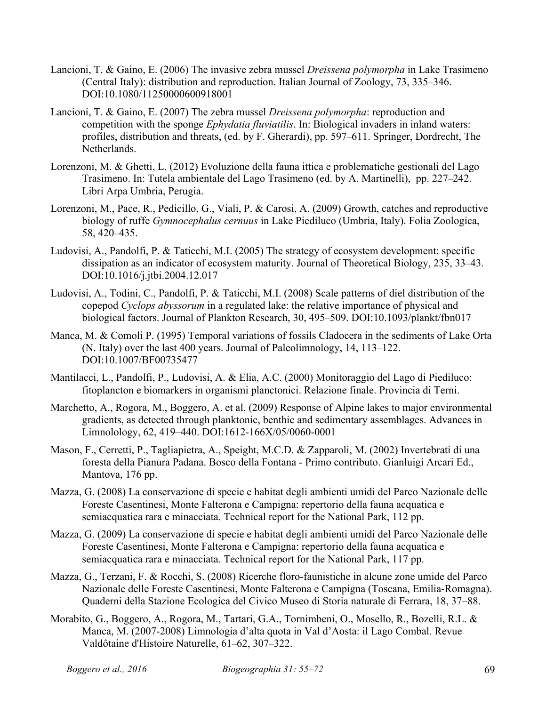- Lancioni, T. & Gaino, E. (2006) The invasive zebra mussel *Dreissena polymorpha* in Lake Trasimeno (Central Italy): distribution and reproduction. Italian Journal of Zoology, 73, 335–346. DOI:10.1080/11250000600918001
- Lancioni, T. & Gaino, E. (2007) The zebra mussel *Dreissena polymorpha*: reproduction and competition with the sponge *Ephydatia fluviatilis*. In: Biological invaders in inland waters: profiles, distribution and threats, (ed. by F. Gherardi), pp. 597–611. Springer, Dordrecht, The Netherlands.
- Lorenzoni, M. & Ghetti, L. (2012) Evoluzione della fauna ittica e problematiche gestionali del Lago Trasimeno. In: Tutela ambientale del Lago Trasimeno (ed. by A. Martinelli), pp. 227–242. Libri Arpa Umbria, Perugia.
- Lorenzoni, M., Pace, R., Pedicillo, G., Viali, P. & Carosi, A. (2009) Growth, catches and reproductive biology of ruffe *Gymnocephalus cernuus* in Lake Piediluco (Umbria, Italy). Folia Zoologica, 58, 420–435.
- Ludovisi, A., Pandolfi, P. & Taticchi, M.I. (2005) The strategy of ecosystem development: specific dissipation as an indicator of ecosystem maturity. Journal of Theoretical Biology, 235, 33–43. DOI:10.1016/j.jtbi.2004.12.017
- Ludovisi, A., Todini, C., Pandolfi, P. & Taticchi, M.I. (2008) Scale patterns of diel distribution of the copepod *Cyclops abyssorum* in a regulated lake: the relative importance of physical and biological factors. Journal of Plankton Research, 30, 495–509. DOI:10.1093/plankt/fbn017
- Manca, M. & Comoli P. (1995) Temporal variations of fossils Cladocera in the sediments of Lake Orta (N. Italy) over the last 400 years. Journal of Paleolimnology, 14, 113–122. DOI:10.1007/BF00735477
- Mantilacci, L., Pandolfi, P., Ludovisi, A. & Elia, A.C. (2000) Monitoraggio del Lago di Piediluco: fitoplancton e biomarkers in organismi planctonici. Relazione finale. Provincia di Terni.
- Marchetto, A., Rogora, M., Boggero, A. et al. (2009) Response of Alpine lakes to major environmental gradients, as detected through planktonic, benthic and sedimentary assemblages. Advances in Limnolology, 62, 419–440. DOI:1612-166X/05/0060-0001
- Mason, F., Cerretti, P., Tagliapietra, A., Speight, M.C.D. & Zapparoli, M. (2002) Invertebrati di una foresta della Pianura Padana. Bosco della Fontana - Primo contributo. Gianluigi Arcari Ed., Mantova, 176 pp.
- Mazza, G. (2008) La conservazione di specie e habitat degli ambienti umidi del Parco Nazionale delle Foreste Casentinesi, Monte Falterona e Campigna: repertorio della fauna acquatica e semiacquatica rara e minacciata. Technical report for the National Park, 112 pp.
- Mazza, G. (2009) La conservazione di specie e habitat degli ambienti umidi del Parco Nazionale delle Foreste Casentinesi, Monte Falterona e Campigna: repertorio della fauna acquatica e semiacquatica rara e minacciata. Technical report for the National Park, 117 pp.
- Mazza, G., Terzani, F. & Rocchi, S. (2008) Ricerche floro-faunistiche in alcune zone umide del Parco Nazionale delle Foreste Casentinesi, Monte Falterona e Campigna (Toscana, Emilia-Romagna). Quaderni della Stazione Ecologica del Civico Museo di Storia naturale di Ferrara, 18, 37–88.
- Morabito, G., Boggero, A., Rogora, M., Tartari, G.A., Tornimbeni, O., Mosello, R., Bozelli, R.L. & Manca, M. (2007-2008) Limnologia d'alta quota in Val d'Aosta: il Lago Combal. Revue Valdôtaine d'Histoire Naturelle, 61–62, 307–322.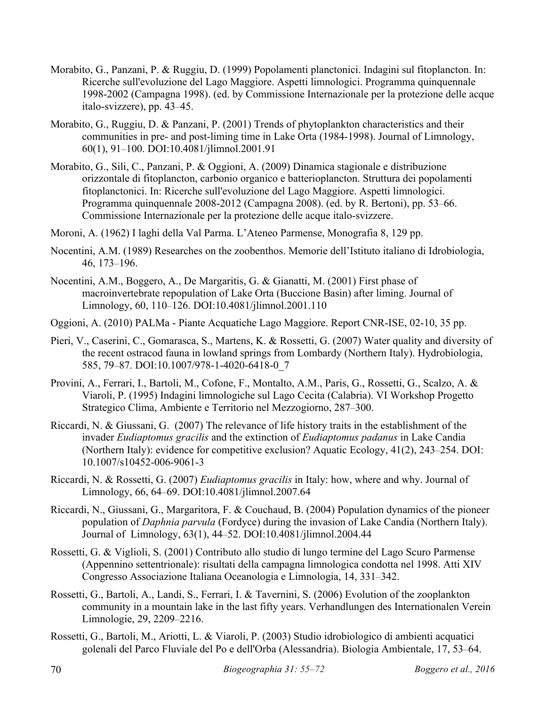- Morabito, G., Panzani, P. & Ruggiu, D. (1999) Popolamenti planctonici. Indagini sul fitoplancton. In: Ricerche sull'evoluzione del Lago Maggiore. Aspetti limnologici. Programma quinquennale 1998-2002 (Campagna 1998). (ed. by Commissione Internazionale per la protezione delle acque italo-svizzere), pp. 43–45.
- Morabito, G., Ruggiu, D. & Panzani, P. (2001) Trends of phytoplankton characteristics and their communities in pre- and post-liming time in Lake Orta (1984-1998). Journal of Limnology, 60(1), 91–100. DOI:10.4081/jlimnol.2001.91
- Morabito, G., Sili, C., Panzani, P. & Oggioni, A. (2009) Dinamica stagionale e distribuzione orizzontale di fitoplancton, carbonio organico e batterioplancton. Struttura dei popolamenti fitoplanctonici. In: Ricerche sull'evoluzione del Lago Maggiore. Aspetti limnologici. Programma quinquennale 2008-2012 (Campagna 2008). (ed. by R. Bertoni), pp. 53–66. Commissione Internazionale per la protezione delle acque italo-svizzere.
- Moroni, A. (1962) I laghi della Val Parma. L'Ateneo Parmense, Monografia 8, 129 pp.
- Nocentini, A.M. (1989) Researches on the zoobenthos. Memorie dell'Istituto italiano di Idrobiologia, 46, 173–196.
- Nocentini, A.M., Boggero, A., De Margaritis, G. & Gianatti, M. (2001) First phase of macroinvertebrate repopulation of Lake Orta (Buccione Basin) after liming. Journal of Limnology, 60, 110–126. DOI:10.4081/jlimnol.2001.110
- Oggioni, A. (2010) PALMa Piante Acquatiche Lago Maggiore. Report CNR-ISE, 02-10, 35 pp.
- Pieri, V., Caserini, C., Gomarasca, S., Martens, K. & Rossetti, G. (2007) Water quality and diversity of the recent ostracod fauna in lowland springs from Lombardy (Northern Italy). Hydrobiologia, 585, 79–87. DOI:10.1007/978-1-4020-6418-0\_7
- Provini, A., Ferrari, I., Bartoli, M., Cofone, F., Montalto, A.M., Paris, G., Rossetti, G., Scalzo, A. & Viaroli, P. (1995) Indagini limnologiche sul Lago Cecita (Calabria). VI Workshop Progetto Strategico Clima, Ambiente e Territorio nel Mezzogiorno, 287–300.
- Riccardi, N. & Giussani, G. (2007) The relevance of life history traits in the establishment of the invader *Eudiaptomus gracilis* and the extinction of *Eudiaptomus padanus* in Lake Candia (Northern Italy): evidence for competitive exclusion? Aquatic Ecology, 41(2), 243–254. DOI: 10.1007/s10452-006-9061-3
- Riccardi, N. & Rossetti, G. (2007) *Eudiaptomus gracilis* in Italy: how, where and why. Journal of Limnology, 66, 64–69. DOI:10.4081/jlimnol.2007.64
- Riccardi, N., Giussani, G., Margaritora, F. & Couchaud, B. (2004) Population dynamics of the pioneer population of *Daphnia parvula* (Fordyce) during the invasion of Lake Candia (Northern Italy). Journal of Limnology, 63(1), 44–52. DOI:10.4081/jlimnol.2004.44
- Rossetti, G. & Viglioli, S. (2001) Contributo allo studio di lungo termine del Lago Scuro Parmense (Appennino settentrionale): risultati della campagna limnologica condotta nel 1998. Atti XIV Congresso Associazione Italiana Oceanologia e Limnologia, 14, 331–342.
- Rossetti, G., Bartoli, A., Landi, S., Ferrari, I. & Tavernini, S. (2006) Evolution of the zooplankton community in a mountain lake in the last fifty years. Verhandlungen des Internationalen Verein Limnologie, 29, 2209–2216.
- Rossetti, G., Bartoli, M., Ariotti, L. & Viaroli, P. (2003) Studio idrobiologico di ambienti acquatici golenali del Parco Fluviale del Po e dell'Orba (Alessandria). Biologia Ambientale, 17, 53–64.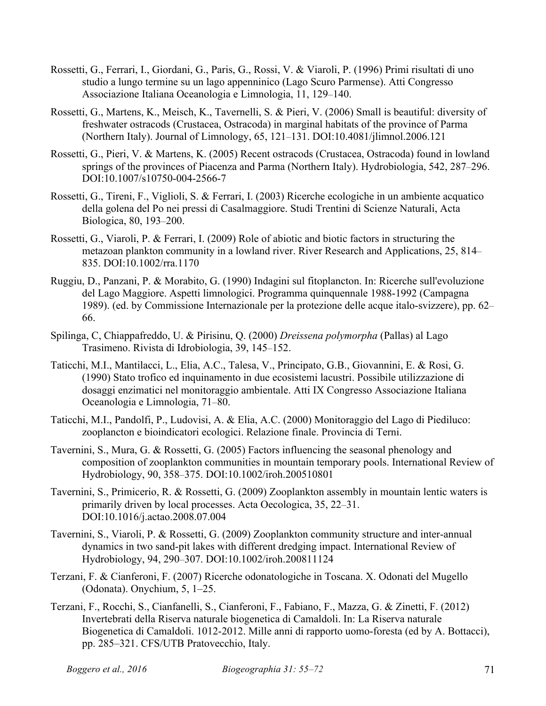- Rossetti, G., Ferrari, I., Giordani, G., Paris, G., Rossi, V. & Viaroli, P. (1996) Primi risultati di uno studio a lungo termine su un lago appenninico (Lago Scuro Parmense). Atti Congresso Associazione Italiana Oceanologia e Limnologia, 11, 129–140.
- Rossetti, G., Martens, K., Meisch, K., Tavernelli, S. & Pieri, V. (2006) Small is beautiful: diversity of freshwater ostracods (Crustacea, Ostracoda) in marginal habitats of the province of Parma (Northern Italy). Journal of Limnology, 65, 121–131. DOI:10.4081/jlimnol.2006.121
- Rossetti, G., Pieri, V. & Martens, K. (2005) Recent ostracods (Crustacea, Ostracoda) found in lowland springs of the provinces of Piacenza and Parma (Northern Italy). Hydrobiologia, 542, 287–296. DOI:10.1007/s10750-004-2566-7
- Rossetti, G., Tireni, F., Viglioli, S. & Ferrari, I. (2003) Ricerche ecologiche in un ambiente acquatico della golena del Po nei pressi di Casalmaggiore. Studi Trentini di Scienze Naturali, Acta Biologica, 80, 193–200.
- Rossetti, G., Viaroli, P. & Ferrari, I. (2009) Role of abiotic and biotic factors in structuring the metazoan plankton community in a lowland river. River Research and Applications, 25, 814– 835. DOI:10.1002/rra.1170
- Ruggiu, D., Panzani, P. & Morabito, G. (1990) Indagini sul fitoplancton. In: Ricerche sull'evoluzione del Lago Maggiore. Aspetti limnologici. Programma quinquennale 1988-1992 (Campagna 1989). (ed. by Commissione Internazionale per la protezione delle acque italo-svizzere), pp. 62– 66.
- Spilinga, C, Chiappafreddo, U. & Pirisinu, Q. (2000) *Dreissena polymorpha* (Pallas) al Lago Trasimeno. Rivista di Idrobiologia, 39, 145–152.
- Taticchi, M.I., Mantilacci, L., Elia, A.C., Talesa, V., Principato, G.B., Giovannini, E. & Rosi, G. (1990) Stato trofico ed inquinamento in due ecosistemi lacustri. Possibile utilizzazione di dosaggi enzimatici nel monitoraggio ambientale. Atti IX Congresso Associazione Italiana Oceanologia e Limnologia, 71–80.
- Taticchi, M.I., Pandolfi, P., Ludovisi, A. & Elia, A.C. (2000) Monitoraggio del Lago di Piediluco: zooplancton e bioindicatori ecologici. Relazione finale. Provincia di Terni.
- Tavernini, S., Mura, G. & Rossetti, G. (2005) Factors influencing the seasonal phenology and composition of zooplankton communities in mountain temporary pools. International Review of Hydrobiology, 90, 358–375. DOI:10.1002/iroh.200510801
- Tavernini, S., Primicerio, R. & Rossetti, G. (2009) Zooplankton assembly in mountain lentic waters is primarily driven by local processes. Acta Oecologica, 35, 22–31. DOI:10.1016/j.actao.2008.07.004
- Tavernini, S., Viaroli, P. & Rossetti, G. (2009) Zooplankton community structure and inter-annual dynamics in two sand-pit lakes with different dredging impact. International Review of Hydrobiology, 94, 290–307. DOI:10.1002/iroh.200811124
- Terzani, F. & Cianferoni, F. (2007) Ricerche odonatologiche in Toscana. X. Odonati del Mugello (Odonata). Onychium, 5, 1–25.
- Terzani, F., Rocchi, S., Cianfanelli, S., Cianferoni, F., Fabiano, F., Mazza, G. & Zinetti, F. (2012) Invertebrati della Riserva naturale biogenetica di Camaldoli. In: La Riserva naturale Biogenetica di Camaldoli. 1012-2012. Mille anni di rapporto uomo-foresta (ed by A. Bottacci), pp. 285–321. CFS/UTB Pratovecchio, Italy.